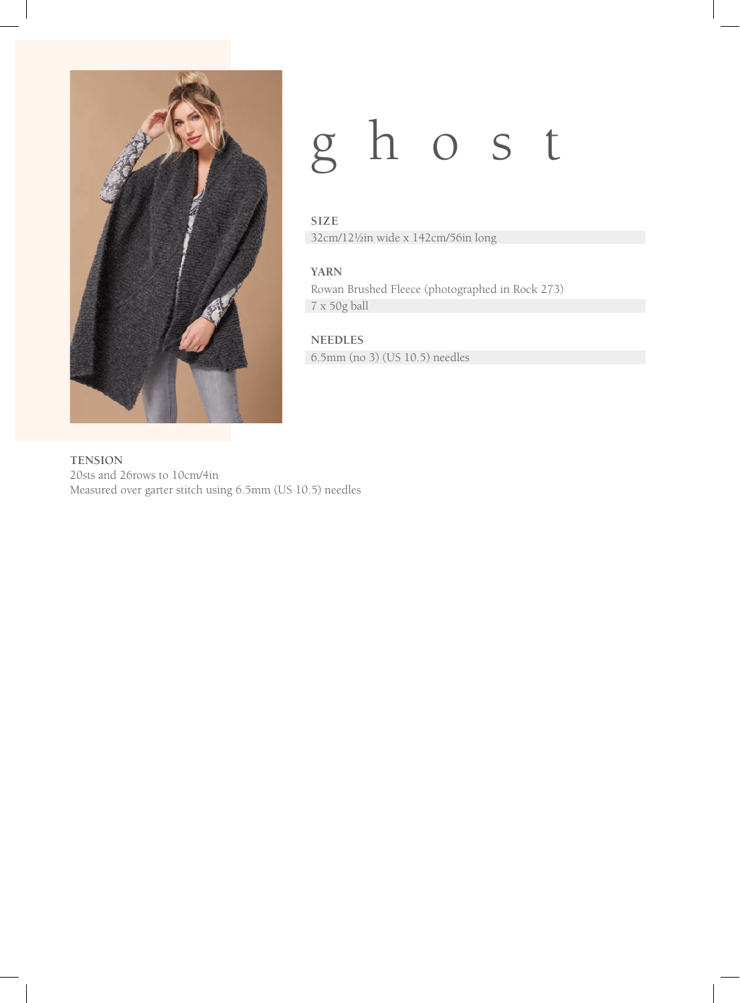

## ghost

#### **SIZE**

32cm/12½in wide x 142cm/56in long

#### **YARN**

Rowan Brushed Fleece (photographed in Rock 273) 7 x 50g ball

#### **NEEDLES**

6.5mm (no 3) (US 10.5) needles

**TENSION** 20sts and 26rows to 10cm/4in Measured over garter stitch using 6.5mm (US 10.5) needles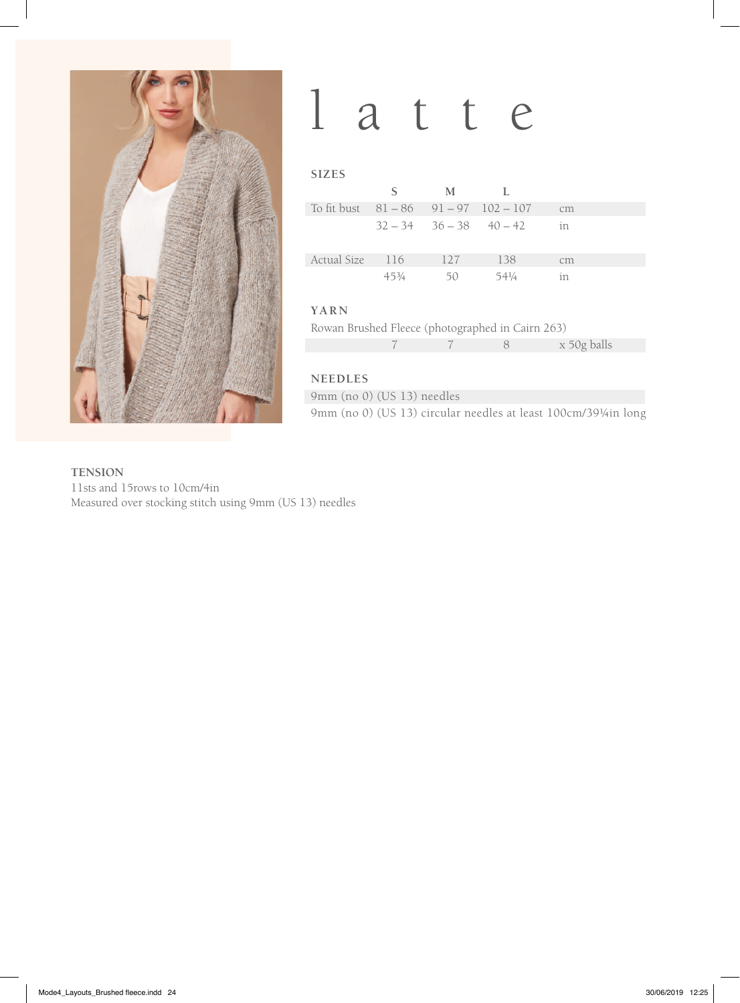

## latte

| <b>SIZES</b>                                |                 |                               |       |    |  |
|---------------------------------------------|-----------------|-------------------------------|-------|----|--|
|                                             | S               | M                             | L     |    |  |
| To fit bust $81 - 86$ $91 - 97$ $102 - 107$ |                 |                               |       | cm |  |
|                                             |                 | $32 - 34$ $36 - 38$ $40 - 42$ |       | in |  |
| Actual Size                                 | -116            | 127                           | 138   | cm |  |
|                                             | $45\frac{3}{4}$ | 50                            | 541/4 | in |  |
| YARN                                        |                 |                               |       |    |  |

Rowan Brushed Fleece (photographed in Cairn 263)

|--|

#### **NEEDLES**

9mm (no 0) (US 13) needles 9mm (no 0) (US 13) circular needles at least 100cm/39¼in long

**TENSION** 11sts and 15rows to 10cm/4in Measured over stocking stitch using 9mm (US 13) needles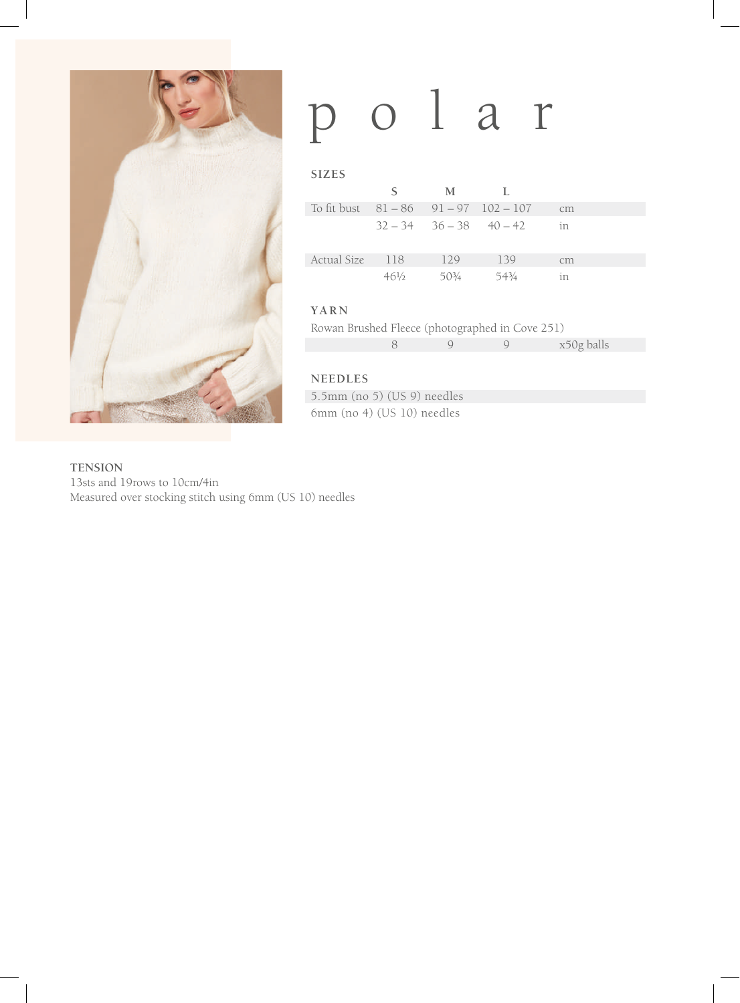

# polar

| <b>SIZES</b>                                |                 |                               |       |    |  |
|---------------------------------------------|-----------------|-------------------------------|-------|----|--|
|                                             | S               | M                             | Т.    |    |  |
| To fit bust $81 - 86$ $91 - 97$ $102 - 107$ |                 |                               |       | cm |  |
|                                             |                 | $32 - 34$ $36 - 38$ $40 - 42$ |       | in |  |
| <b>Actual Size</b>                          | - 118           | 129                           | 139   | cm |  |
|                                             | $46\frac{1}{2}$ | $50\frac{3}{4}$               | 543⁄4 | in |  |

#### **YARN**

|  |  | Rowan Brushed Fleece (photographed in Cove 251) |  |
|--|--|-------------------------------------------------|--|
|  |  |                                                 |  |

|  |  | x50g balls |
|--|--|------------|
|  |  |            |

#### **NEEDLES**

5.5mm (no 5) (US 9) needles 6mm (no 4) (US 10) needles

**TENSION**

13sts and 19rows to 10cm/4in Measured over stocking stitch using 6mm (US 10) needles